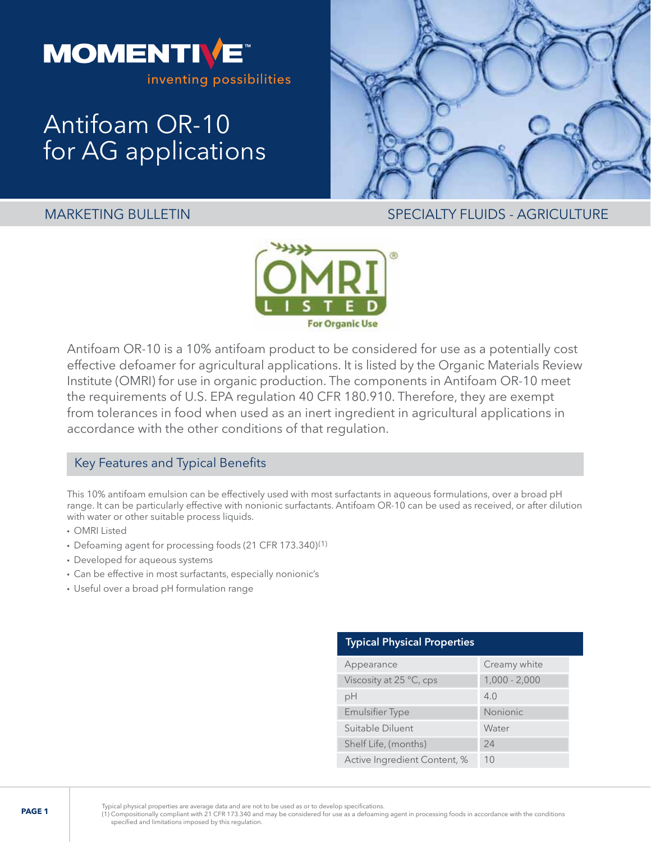

# Antifoam OR-10 for AG applications



MARKETING BULLETIN SPECIALTY FLUIDS - AGRICULTURE



Antifoam OR-10 is a 10% antifoam product to be considered for use as a potentially cost effective defoamer for agricultural applications. It is listed by the Organic Materials Review Institute (OMRI) for use in organic production. The components in Antifoam OR-10 meet the requirements of U.S. EPA regulation 40 CFR 180.910. Therefore, they are exempt from tolerances in food when used as an inert ingredient in agricultural applications in accordance with the other conditions of that regulation.

# Key Features and Typical Benefits

This 10% antifoam emulsion can be effectively used with most surfactants in aqueous formulations, over a broad pH range. It can be particularly effective with nonionic surfactants. Antifoam OR-10 can be used as received, or after dilution with water or other suitable process liquids.

- OMRI Listed
- Defoaming agent for processing foods (21 CFR 173.340)(1)
- Developed for aqueous systems
- Can be effective in most surfactants, especially nonionic's
- Useful over a broad pH formulation range

| <b>Typical Physical Properties</b> |                 |
|------------------------------------|-----------------|
| Appearance                         | Creamy white    |
| Viscosity at 25 °C, cps            | $1,000 - 2,000$ |
| рH                                 | 4.0             |
| <b>Emulsifier Type</b>             | <b>Nonionic</b> |
| Suitable Diluent                   | Water           |
| Shelf Life, (months)               | 24              |
| Active Ingredient Content, %       | 10              |

Typical physical properties are average data and are not to be used as or to develop specifications.<br>(1) Compositionally compliant with 21 CFR 173.340 and may be considered for use as a defoaming agent in processing foods specified and limitations imposed by this regulation.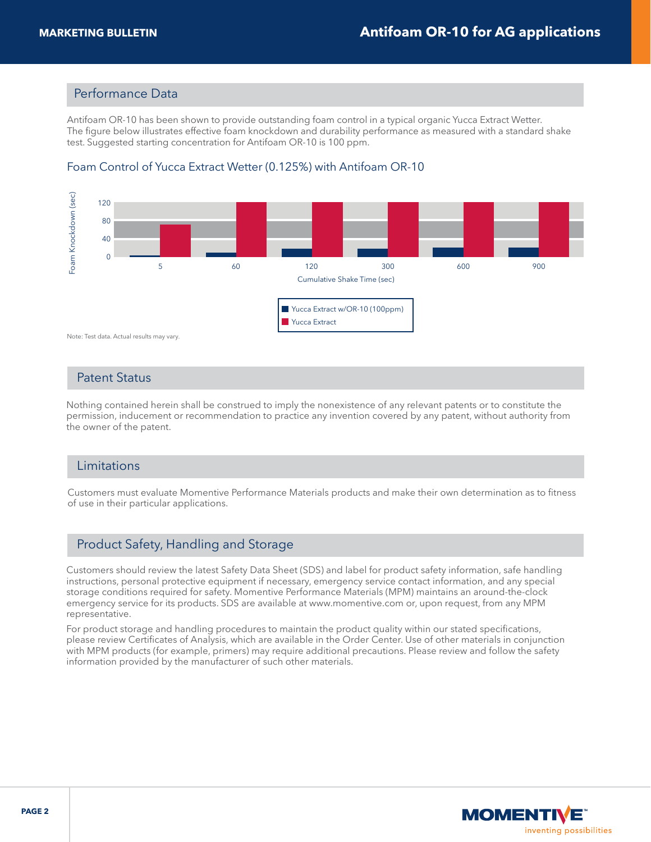#### Performance Data

Antifoam OR-10 has been shown to provide outstanding foam control in a typical organic Yucca Extract Wetter. The figure below illustrates effective foam knockdown and durability performance as measured with a standard shake test. Suggested starting concentration for Antifoam OR-10 is 100 ppm.



## Foam Control of Yucca Extract Wetter (0.125%) with Antifoam OR-10

#### Patent Status

Nothing contained herein shall be construed to imply the nonexistence of any relevant patents or to constitute the permission, inducement or recommendation to practice any invention covered by any patent, without authority from the owner of the patent.

#### Limitations

Customers must evaluate Momentive Performance Materials products and make their own determination as to fitness of use in their particular applications.

# Product Safety, Handling and Storage

Customers should review the latest Safety Data Sheet (SDS) and label for product safety information, safe handling instructions, personal protective equipment if necessary, emergency service contact information, and any special storage conditions required for safety. Momentive Performance Materials (MPM) maintains an around-the-clock emergency service for its products. SDS are available at www.momentive.com or, upon request, from any MPM representative.

For product storage and handling procedures to maintain the product quality within our stated specifications, please review Certificates of Analysis, which are available in the Order Center. Use of other materials in conjunction with MPM products (for example, primers) may require additional precautions. Please review and follow the safety information provided by the manufacturer of such other materials.

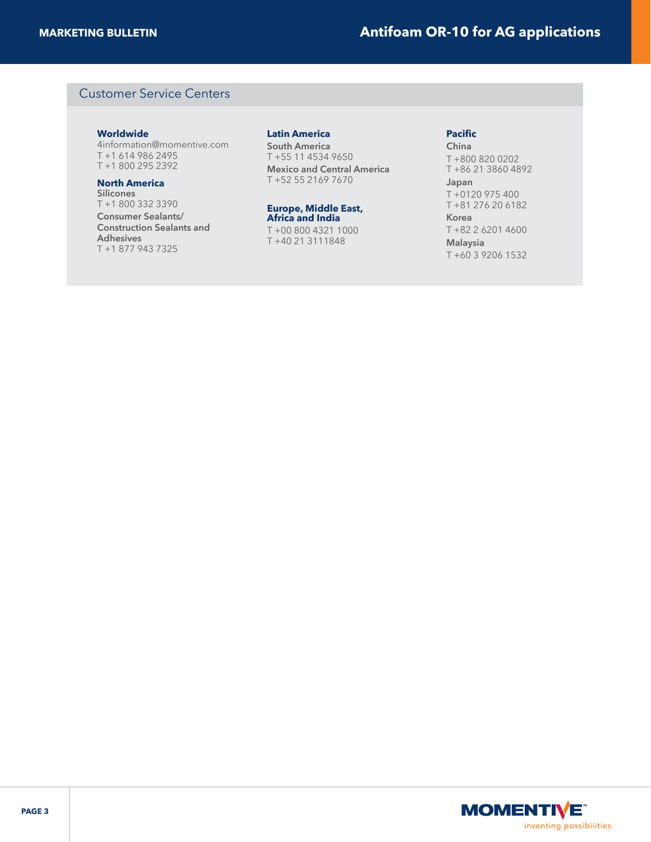## Customer Service Centers

#### **Worldwide**

4information@momentive.com T +1 614 986 2495 T +1 800 295 2392

#### **North America**

**Silicones**  T +1 800 332 3390 **Consumer Sealants/ Construction Sealants and Adhesives**  T +1 877 943 7325

#### **Latin America**

**South America**  T +55 11 4534 9650 **Mexico and Central America**  T +52 55 2169 7670

#### **Europe, Middle East, Africa and India**

T +00 800 4321 1000 T +40 21 3111848

#### **Pacific**

**China**  T +800 820 0202 T +86 21 3860 4892 **Japan**  T +0120 975 400 T +81 276 20 6182 **Korea** 

T +82 2 6201 4600 **Malaysia**  T +60 3 9206 1532